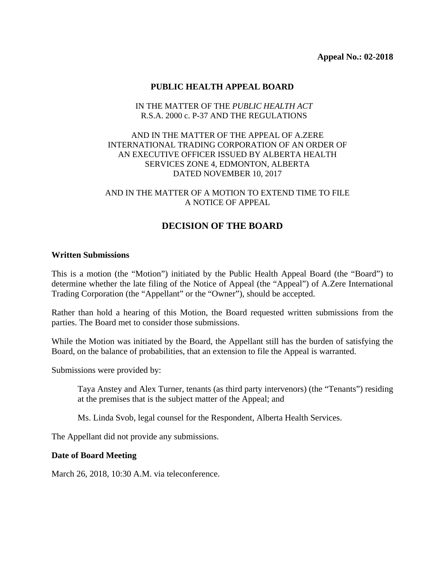## **PUBLIC HEALTH APPEAL BOARD**

## IN THE MATTER OF THE *PUBLIC HEALTH ACT* R.S.A. 2000 c. P-37 AND THE REGULATIONS

## AND IN THE MATTER OF THE APPEAL OF A.ZERE INTERNATIONAL TRADING CORPORATION OF AN ORDER OF AN EXECUTIVE OFFICER ISSUED BY ALBERTA HEALTH SERVICES ZONE 4, EDMONTON, ALBERTA DATED NOVEMBER 10, 2017

#### AND IN THE MATTER OF A MOTION TO EXTEND TIME TO FILE A NOTICE OF APPEAL

# **DECISION OF THE BOARD**

#### **Written Submissions**

This is a motion (the "Motion") initiated by the Public Health Appeal Board (the "Board") to determine whether the late filing of the Notice of Appeal (the "Appeal") of A.Zere International Trading Corporation (the "Appellant" or the "Owner"), should be accepted.

Rather than hold a hearing of this Motion, the Board requested written submissions from the parties. The Board met to consider those submissions.

While the Motion was initiated by the Board, the Appellant still has the burden of satisfying the Board, on the balance of probabilities, that an extension to file the Appeal is warranted.

Submissions were provided by:

Taya Anstey and Alex Turner, tenants (as third party intervenors) (the "Tenants") residing at the premises that is the subject matter of the Appeal; and

Ms. Linda Svob, legal counsel for the Respondent, Alberta Health Services.

The Appellant did not provide any submissions.

#### **Date of Board Meeting**

March 26, 2018, 10:30 A.M. via teleconference.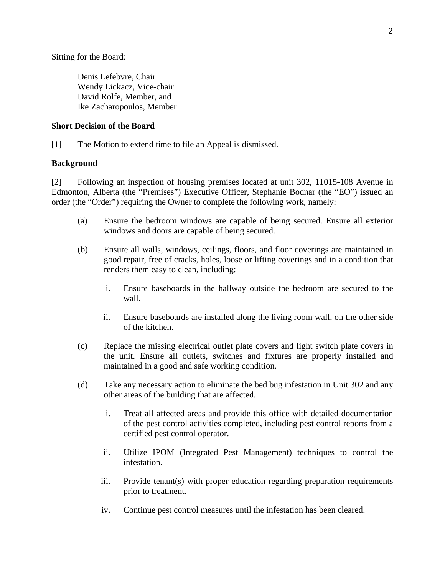Sitting for the Board:

Denis Lefebvre, Chair Wendy Lickacz, Vice-chair David Rolfe, Member, and Ike Zacharopoulos, Member

## **Short Decision of the Board**

[1] The Motion to extend time to file an Appeal is dismissed.

## **Background**

[2] Following an inspection of housing premises located at unit 302, 11015-108 Avenue in Edmonton, Alberta (the "Premises") Executive Officer, Stephanie Bodnar (the "EO") issued an order (the "Order") requiring the Owner to complete the following work, namely:

- (a) Ensure the bedroom windows are capable of being secured. Ensure all exterior windows and doors are capable of being secured.
- (b) Ensure all walls, windows, ceilings, floors, and floor coverings are maintained in good repair, free of cracks, holes, loose or lifting coverings and in a condition that renders them easy to clean, including:
	- i. Ensure baseboards in the hallway outside the bedroom are secured to the wall.
	- ii. Ensure baseboards are installed along the living room wall, on the other side of the kitchen.
- (c) Replace the missing electrical outlet plate covers and light switch plate covers in the unit. Ensure all outlets, switches and fixtures are properly installed and maintained in a good and safe working condition.
- (d) Take any necessary action to eliminate the bed bug infestation in Unit 302 and any other areas of the building that are affected.
	- i. Treat all affected areas and provide this office with detailed documentation of the pest control activities completed, including pest control reports from a certified pest control operator.
	- ii. Utilize IPOM (Integrated Pest Management) techniques to control the infestation.
	- iii. Provide tenant(s) with proper education regarding preparation requirements prior to treatment.
	- iv. Continue pest control measures until the infestation has been cleared.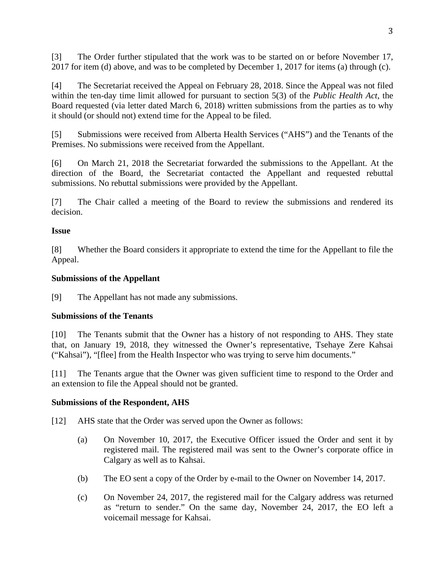[3] The Order further stipulated that the work was to be started on or before November 17, 2017 for item (d) above, and was to be completed by December 1, 2017 for items (a) through (c).

[4] The Secretariat received the Appeal on February 28, 2018. Since the Appeal was not filed within the ten-day time limit allowed for pursuant to section 5(3) of the *Public Health Act*, the Board requested (via letter dated March 6, 2018) written submissions from the parties as to why it should (or should not) extend time for the Appeal to be filed.

[5] Submissions were received from Alberta Health Services ("AHS") and the Tenants of the Premises. No submissions were received from the Appellant.

[6] On March 21, 2018 the Secretariat forwarded the submissions to the Appellant. At the direction of the Board, the Secretariat contacted the Appellant and requested rebuttal submissions. No rebuttal submissions were provided by the Appellant.

[7] The Chair called a meeting of the Board to review the submissions and rendered its decision.

# **Issue**

[8] Whether the Board considers it appropriate to extend the time for the Appellant to file the Appeal.

# **Submissions of the Appellant**

[9] The Appellant has not made any submissions.

# **Submissions of the Tenants**

[10] The Tenants submit that the Owner has a history of not responding to AHS. They state that, on January 19, 2018, they witnessed the Owner's representative, Tsehaye Zere Kahsai ("Kahsai"), "[flee] from the Health Inspector who was trying to serve him documents."

[11] The Tenants argue that the Owner was given sufficient time to respond to the Order and an extension to file the Appeal should not be granted.

# **Submissions of the Respondent, AHS**

[12] AHS state that the Order was served upon the Owner as follows:

- (a) On November 10, 2017, the Executive Officer issued the Order and sent it by registered mail. The registered mail was sent to the Owner's corporate office in Calgary as well as to Kahsai.
- (b) The EO sent a copy of the Order by e-mail to the Owner on November 14, 2017.
- (c) On November 24, 2017, the registered mail for the Calgary address was returned as "return to sender." On the same day, November 24, 2017, the EO left a voicemail message for Kahsai.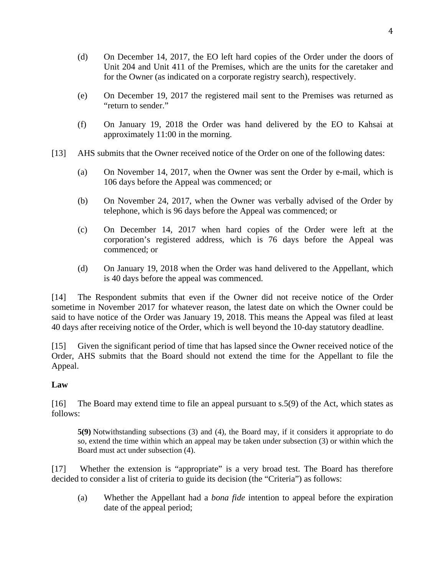- (d) On December 14, 2017, the EO left hard copies of the Order under the doors of Unit 204 and Unit 411 of the Premises, which are the units for the caretaker and for the Owner (as indicated on a corporate registry search), respectively.
- (e) On December 19, 2017 the registered mail sent to the Premises was returned as "return to sender."
- (f) On January 19, 2018 the Order was hand delivered by the EO to Kahsai at approximately 11:00 in the morning.
- [13] AHS submits that the Owner received notice of the Order on one of the following dates:
	- (a) On November 14, 2017, when the Owner was sent the Order by e-mail, which is 106 days before the Appeal was commenced; or
	- (b) On November 24, 2017, when the Owner was verbally advised of the Order by telephone, which is 96 days before the Appeal was commenced; or
	- (c) On December 14, 2017 when hard copies of the Order were left at the corporation's registered address, which is 76 days before the Appeal was commenced; or
	- (d) On January 19, 2018 when the Order was hand delivered to the Appellant, which is 40 days before the appeal was commenced.

[14] The Respondent submits that even if the Owner did not receive notice of the Order sometime in November 2017 for whatever reason, the latest date on which the Owner could be said to have notice of the Order was January 19, 2018. This means the Appeal was filed at least 40 days after receiving notice of the Order, which is well beyond the 10-day statutory deadline.

[15] Given the significant period of time that has lapsed since the Owner received notice of the Order, AHS submits that the Board should not extend the time for the Appellant to file the Appeal.

# **Law**

[16] The Board may extend time to file an appeal pursuant to s.5(9) of the Act, which states as follows:

**5(9)** Notwithstanding subsections (3) and (4), the Board may, if it considers it appropriate to do so, extend the time within which an appeal may be taken under subsection (3) or within which the Board must act under subsection (4).

[17] Whether the extension is "appropriate" is a very broad test. The Board has therefore decided to consider a list of criteria to guide its decision (the "Criteria") as follows:

(a) Whether the Appellant had a *bona fide* intention to appeal before the expiration date of the appeal period;